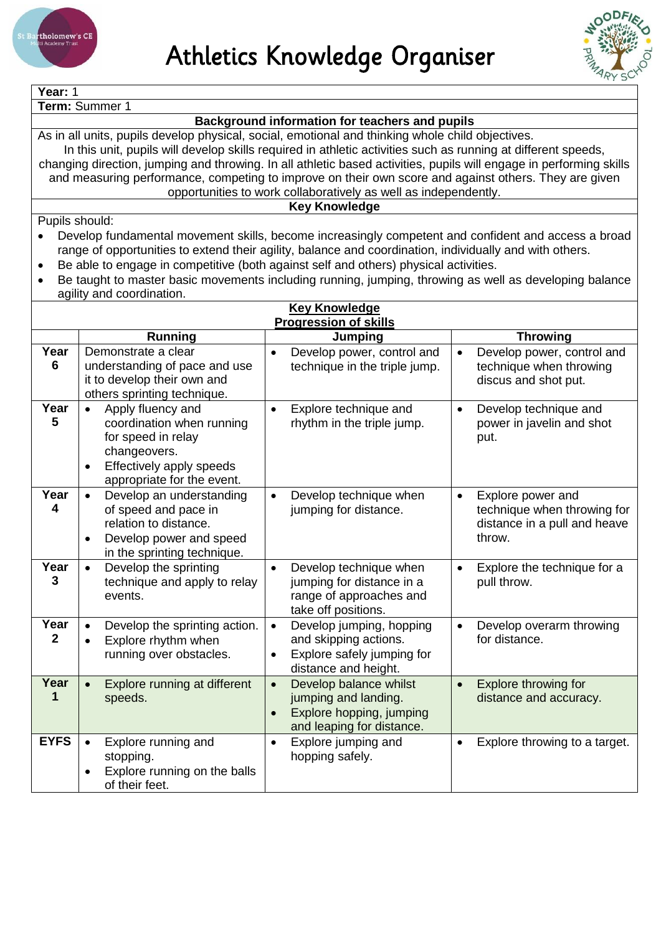



| Year: 1                                                                                                                                                                                                           |                                                                                                                     |                                                                          |                                                                    |  |  |  |  |
|-------------------------------------------------------------------------------------------------------------------------------------------------------------------------------------------------------------------|---------------------------------------------------------------------------------------------------------------------|--------------------------------------------------------------------------|--------------------------------------------------------------------|--|--|--|--|
| Term: Summer 1                                                                                                                                                                                                    |                                                                                                                     |                                                                          |                                                                    |  |  |  |  |
| Background information for teachers and pupils                                                                                                                                                                    |                                                                                                                     |                                                                          |                                                                    |  |  |  |  |
| As in all units, pupils develop physical, social, emotional and thinking whole child objectives.<br>In this unit, pupils will develop skills required in athletic activities such as running at different speeds, |                                                                                                                     |                                                                          |                                                                    |  |  |  |  |
|                                                                                                                                                                                                                   | changing direction, jumping and throwing. In all athletic based activities, pupils will engage in performing skills |                                                                          |                                                                    |  |  |  |  |
|                                                                                                                                                                                                                   | and measuring performance, competing to improve on their own score and against others. They are given               |                                                                          |                                                                    |  |  |  |  |
|                                                                                                                                                                                                                   |                                                                                                                     | opportunities to work collaboratively as well as independently.          |                                                                    |  |  |  |  |
|                                                                                                                                                                                                                   |                                                                                                                     | <b>Key Knowledge</b>                                                     |                                                                    |  |  |  |  |
| Pupils should:                                                                                                                                                                                                    |                                                                                                                     |                                                                          |                                                                    |  |  |  |  |
|                                                                                                                                                                                                                   | Develop fundamental movement skills, become increasingly competent and confident and access a broad                 |                                                                          |                                                                    |  |  |  |  |
|                                                                                                                                                                                                                   | range of opportunities to extend their agility, balance and coordination, individually and with others.             |                                                                          |                                                                    |  |  |  |  |
|                                                                                                                                                                                                                   | Be able to engage in competitive (both against self and others) physical activities.                                |                                                                          |                                                                    |  |  |  |  |
|                                                                                                                                                                                                                   | Be taught to master basic movements including running, jumping, throwing as well as developing balance              |                                                                          |                                                                    |  |  |  |  |
| agility and coordination.                                                                                                                                                                                         |                                                                                                                     |                                                                          |                                                                    |  |  |  |  |
|                                                                                                                                                                                                                   |                                                                                                                     | <b>Key Knowledge</b>                                                     |                                                                    |  |  |  |  |
|                                                                                                                                                                                                                   |                                                                                                                     | <b>Progression of skills</b>                                             |                                                                    |  |  |  |  |
|                                                                                                                                                                                                                   | <b>Running</b>                                                                                                      | Jumping                                                                  | <b>Throwing</b>                                                    |  |  |  |  |
| Year<br>6                                                                                                                                                                                                         | Demonstrate a clear<br>understanding of pace and use                                                                | Develop power, control and<br>$\bullet$<br>technique in the triple jump. | Develop power, control and<br>$\bullet$<br>technique when throwing |  |  |  |  |
|                                                                                                                                                                                                                   | it to develop their own and                                                                                         |                                                                          | discus and shot put.                                               |  |  |  |  |
|                                                                                                                                                                                                                   | others sprinting technique.                                                                                         |                                                                          |                                                                    |  |  |  |  |
| Year                                                                                                                                                                                                              | Apply fluency and<br>$\bullet$                                                                                      | Explore technique and<br>$\bullet$                                       | Develop technique and<br>$\bullet$                                 |  |  |  |  |
| 5                                                                                                                                                                                                                 | coordination when running                                                                                           | rhythm in the triple jump.                                               | power in javelin and shot                                          |  |  |  |  |
|                                                                                                                                                                                                                   | for speed in relay                                                                                                  |                                                                          | put.                                                               |  |  |  |  |
|                                                                                                                                                                                                                   | changeovers.                                                                                                        |                                                                          |                                                                    |  |  |  |  |
|                                                                                                                                                                                                                   | Effectively apply speeds                                                                                            |                                                                          |                                                                    |  |  |  |  |
|                                                                                                                                                                                                                   | appropriate for the event.                                                                                          |                                                                          |                                                                    |  |  |  |  |
| Year                                                                                                                                                                                                              | Develop an understanding                                                                                            | Develop technique when<br>$\bullet$                                      | Explore power and<br>$\bullet$                                     |  |  |  |  |
| 4                                                                                                                                                                                                                 | of speed and pace in                                                                                                | jumping for distance.                                                    | technique when throwing for                                        |  |  |  |  |
|                                                                                                                                                                                                                   | relation to distance.                                                                                               |                                                                          | distance in a pull and heave                                       |  |  |  |  |
|                                                                                                                                                                                                                   | Develop power and speed<br>$\bullet$                                                                                |                                                                          | throw.                                                             |  |  |  |  |
|                                                                                                                                                                                                                   | in the sprinting technique.                                                                                         |                                                                          |                                                                    |  |  |  |  |
| Year                                                                                                                                                                                                              | Develop the sprinting                                                                                               | Develop technique when<br>$\bullet$                                      | Explore the technique for a<br>$\bullet$                           |  |  |  |  |
| 3                                                                                                                                                                                                                 | technique and apply to relay                                                                                        | jumping for distance in a                                                | pull throw.                                                        |  |  |  |  |
|                                                                                                                                                                                                                   | events.                                                                                                             | range of approaches and                                                  |                                                                    |  |  |  |  |
| Year                                                                                                                                                                                                              | Develop the sprinting action.                                                                                       | take off positions.                                                      | Develop overarm throwing<br>$\bullet$                              |  |  |  |  |
| $\mathbf{2}$                                                                                                                                                                                                      |                                                                                                                     | Develop jumping, hopping<br>$\bullet$<br>and skipping actions.           | for distance.                                                      |  |  |  |  |
|                                                                                                                                                                                                                   | Explore rhythm when<br>running over obstacles.                                                                      | Explore safely jumping for<br>$\bullet$                                  |                                                                    |  |  |  |  |
|                                                                                                                                                                                                                   |                                                                                                                     | distance and height.                                                     |                                                                    |  |  |  |  |
| Year                                                                                                                                                                                                              | Explore running at different                                                                                        | Develop balance whilst<br>$\bullet$                                      | Explore throwing for<br>$\bullet$                                  |  |  |  |  |
| 1                                                                                                                                                                                                                 | speeds.                                                                                                             | jumping and landing.                                                     | distance and accuracy.                                             |  |  |  |  |
|                                                                                                                                                                                                                   |                                                                                                                     | Explore hopping, jumping                                                 |                                                                    |  |  |  |  |
|                                                                                                                                                                                                                   |                                                                                                                     | and leaping for distance.                                                |                                                                    |  |  |  |  |
| <b>EYFS</b>                                                                                                                                                                                                       | Explore running and                                                                                                 | Explore jumping and<br>$\bullet$                                         | Explore throwing to a target.<br>$\bullet$                         |  |  |  |  |
|                                                                                                                                                                                                                   | stopping.                                                                                                           | hopping safely.                                                          |                                                                    |  |  |  |  |
|                                                                                                                                                                                                                   | Explore running on the balls                                                                                        |                                                                          |                                                                    |  |  |  |  |
|                                                                                                                                                                                                                   | of their feet.                                                                                                      |                                                                          |                                                                    |  |  |  |  |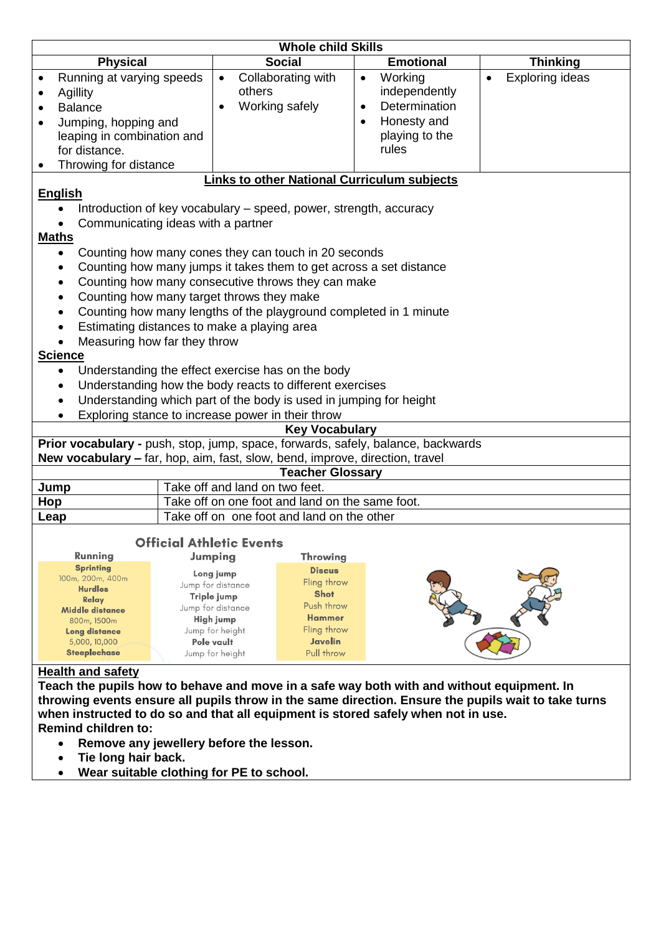| <b>Whole child Skills</b>                                                                           |                                                                   |                            |                              |  |  |  |  |
|-----------------------------------------------------------------------------------------------------|-------------------------------------------------------------------|----------------------------|------------------------------|--|--|--|--|
| <b>Physical</b>                                                                                     | <b>Social</b>                                                     | <b>Emotional</b>           | <b>Thinking</b>              |  |  |  |  |
| Running at varying speeds                                                                           | Collaborating with<br>$\bullet$                                   | Working<br>$\bullet$       | Exploring ideas<br>$\bullet$ |  |  |  |  |
| <b>Agillity</b>                                                                                     | others                                                            | independently              |                              |  |  |  |  |
| <b>Balance</b>                                                                                      | Working safely                                                    | Determination<br>$\bullet$ |                              |  |  |  |  |
| Jumping, hopping and<br>$\bullet$                                                                   |                                                                   | Honesty and<br>$\bullet$   |                              |  |  |  |  |
| leaping in combination and                                                                          |                                                                   | playing to the             |                              |  |  |  |  |
| for distance.                                                                                       |                                                                   | rules                      |                              |  |  |  |  |
| Throwing for distance                                                                               |                                                                   |                            |                              |  |  |  |  |
|                                                                                                     | <b>Links to other National Curriculum subjects</b>                |                            |                              |  |  |  |  |
| <b>English</b>                                                                                      |                                                                   |                            |                              |  |  |  |  |
|                                                                                                     | Introduction of key vocabulary – speed, power, strength, accuracy |                            |                              |  |  |  |  |
| Communicating ideas with a partner                                                                  |                                                                   |                            |                              |  |  |  |  |
| <b>Maths</b>                                                                                        |                                                                   |                            |                              |  |  |  |  |
| Counting how many cones they can touch in 20 seconds<br>$\bullet$                                   |                                                                   |                            |                              |  |  |  |  |
| Counting how many jumps it takes them to get across a set distance<br>$\bullet$                     |                                                                   |                            |                              |  |  |  |  |
| Counting how many consecutive throws they can make<br>$\bullet$                                     |                                                                   |                            |                              |  |  |  |  |
| Counting how many target throws they make<br>$\bullet$                                              |                                                                   |                            |                              |  |  |  |  |
| Counting how many lengths of the playground completed in 1 minute<br>$\bullet$                      |                                                                   |                            |                              |  |  |  |  |
| Estimating distances to make a playing area                                                         |                                                                   |                            |                              |  |  |  |  |
| Measuring how far they throw                                                                        |                                                                   |                            |                              |  |  |  |  |
| <b>Science</b>                                                                                      |                                                                   |                            |                              |  |  |  |  |
| Understanding the effect exercise has on the body<br>$\bullet$                                      |                                                                   |                            |                              |  |  |  |  |
| Understanding how the body reacts to different exercises<br>$\bullet$                               |                                                                   |                            |                              |  |  |  |  |
| Understanding which part of the body is used in jumping for height<br>$\bullet$                     |                                                                   |                            |                              |  |  |  |  |
|                                                                                                     | Exploring stance to increase power in their throw                 |                            |                              |  |  |  |  |
|                                                                                                     | <b>Key Vocabulary</b>                                             |                            |                              |  |  |  |  |
| Prior vocabulary - push, stop, jump, space, forwards, safely, balance, backwards                    |                                                                   |                            |                              |  |  |  |  |
| New vocabulary - far, hop, aim, fast, slow, bend, improve, direction, travel                        |                                                                   |                            |                              |  |  |  |  |
|                                                                                                     | <b>Teacher Glossary</b>                                           |                            |                              |  |  |  |  |
| Jump                                                                                                | Take off and land on two feet.                                    |                            |                              |  |  |  |  |
| Hop                                                                                                 | Take off on one foot and land on the same foot.                   |                            |                              |  |  |  |  |
| Leap                                                                                                | Take off on one foot and land on the other                        |                            |                              |  |  |  |  |
| <b>Official Athletic Events</b>                                                                     |                                                                   |                            |                              |  |  |  |  |
| Running                                                                                             | Jumping<br><b>Throwing</b>                                        |                            |                              |  |  |  |  |
| <b>Sprinting</b>                                                                                    | <b>Discus</b>                                                     |                            |                              |  |  |  |  |
| 100m, 200m, 400m                                                                                    | Long jump<br>Fling throw<br>Jump for distance                     |                            |                              |  |  |  |  |
| <b>Hurdles</b><br>Relay                                                                             | <b>Shot</b><br>Triple jump                                        |                            |                              |  |  |  |  |
| Middle distance                                                                                     | Push throw<br>Jump for distance                                   |                            |                              |  |  |  |  |
| 800m, 1500m                                                                                         | <b>Hammer</b><br>High jump<br>Fling throw                         |                            |                              |  |  |  |  |
| Long distance<br>5,000, 10,000                                                                      | Jump for height<br>Javelin<br>Pole vault                          |                            |                              |  |  |  |  |
| <b>Steeplechase</b>                                                                                 | Pull throw<br>Jump for height                                     |                            |                              |  |  |  |  |
| <b>Health and safety</b>                                                                            |                                                                   |                            |                              |  |  |  |  |
| Teach the pupils how to behave and move in a safe way both with and without equipment. In           |                                                                   |                            |                              |  |  |  |  |
| throwing events ensure all pupils throw in the same direction. Ensure the pupils wait to take turns |                                                                   |                            |                              |  |  |  |  |
| when instructed to do so and that all equipment is stored safely when not in use.                   |                                                                   |                            |                              |  |  |  |  |
| <b>Remind children to:</b>                                                                          |                                                                   |                            |                              |  |  |  |  |
| Remove any jewellery before the lesson.                                                             |                                                                   |                            |                              |  |  |  |  |

- **Tie long hair back.**
- **Wear suitable clothing for PE to school.**